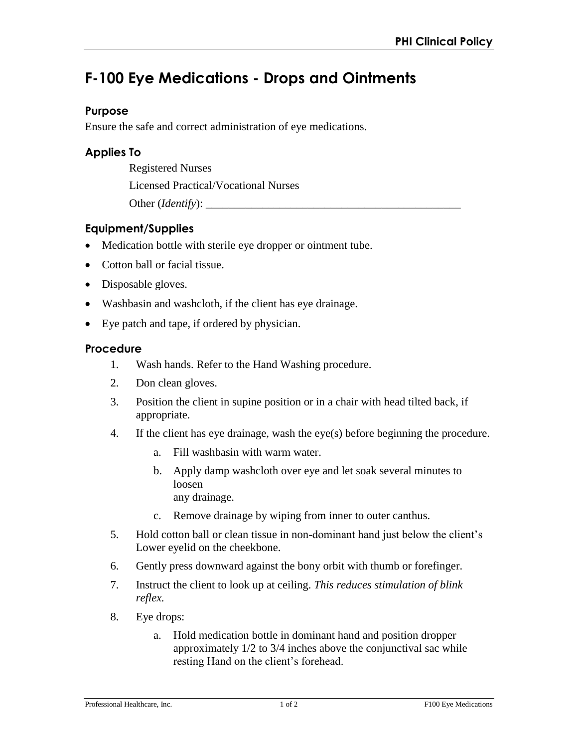# **F-100 Eye Medications - Drops and Ointments**

### **Purpose**

Ensure the safe and correct administration of eye medications.

## **Applies To**

Registered Nurses

Licensed Practical/Vocational Nurses

Other (*Identify*):

# **Equipment/Supplies**

- Medication bottle with sterile eye dropper or ointment tube.
- Cotton ball or facial tissue.
- Disposable gloves.
- Washbasin and washcloth, if the client has eye drainage.
- Eye patch and tape, if ordered by physician.

#### **Procedure**

- 1. Wash hands. Refer to the Hand Washing procedure.
- 2. Don clean gloves.
- 3. Position the client in supine position or in a chair with head tilted back, if appropriate.
- 4. If the client has eye drainage, wash the eye(s) before beginning the procedure.
	- a. Fill washbasin with warm water.
	- b. Apply damp washcloth over eye and let soak several minutes to loosen any drainage.
	- c. Remove drainage by wiping from inner to outer canthus.
- 5. Hold cotton ball or clean tissue in non-dominant hand just below the client's Lower eyelid on the cheekbone.
- 6. Gently press downward against the bony orbit with thumb or forefinger.
- 7. Instruct the client to look up at ceiling. *This reduces stimulation of blink reflex.*
- 8. Eye drops:
	- a. Hold medication bottle in dominant hand and position dropper approximately 1/2 to 3/4 inches above the conjunctival sac while resting Hand on the client's forehead.